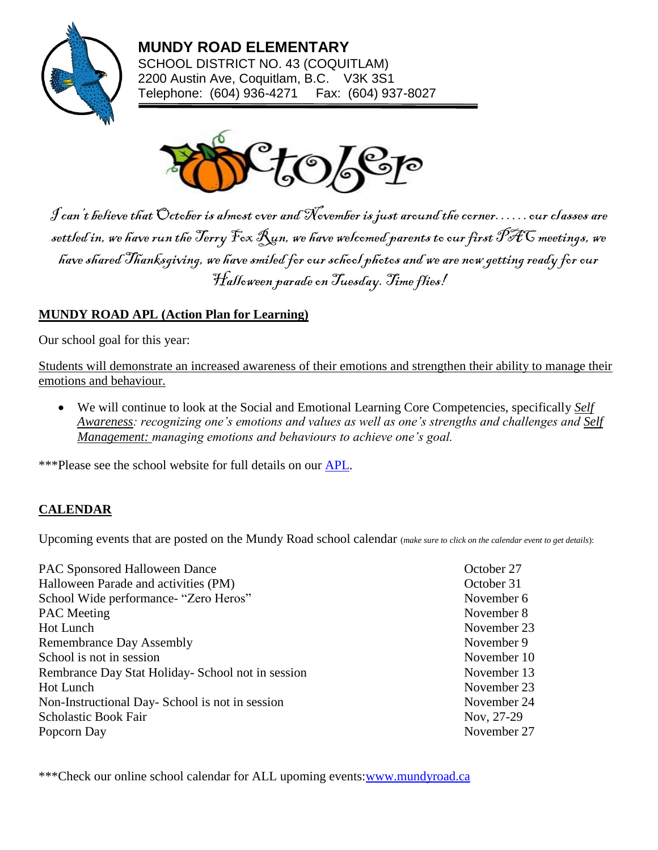

**MUNDY ROAD ELEMENTARY** SCHOOL DISTRICT NO. 43 (COQUITLAM) 2200 Austin Ave, Coquitlam, B.C. V3K 3S1 Telephone: (604) 936-4271 Fax: (604) 937-8027



 $\mathcal J$ can't believe that October is almost over and November is just around the corner……our classes are settled in, we have run the Terry Fox  $\mathcal{R}$ un, we have welcomed parents to our first PFC meetings, we have shared Thanksgiving, we have smiled for our school photos and we are now getting ready for our Halloween parade on Tuesday. Time flies!

### **MUNDY ROAD APL (Action Plan for Learning)**

Our school goal for this year:

Students will demonstrate an increased awareness of their emotions and strengthen their ability to manage their emotions and behaviour.

• We will continue to look at the Social and Emotional Learning Core Competencies, specifically *Self Awareness: recognizing one's emotions and values as well as one's strengths and challenges and Self Management: managing emotions and behaviours to achieve one's goal.*

\*\*\*Please see the school website for full details on our **APL**.

#### **CALENDAR**

Upcoming events that are posted on the Mundy Road school calendar (*make sure to click on the calendar event to get details*):

| <b>PAC Sponsored Halloween Dance</b>              | October 27  |
|---------------------------------------------------|-------------|
| Halloween Parade and activities (PM)              | October 31  |
| School Wide performance- "Zero Heros"             | November 6  |
| <b>PAC</b> Meeting                                | November 8  |
| Hot Lunch                                         | November 23 |
| <b>Remembrance Day Assembly</b>                   | November 9  |
| School is not in session                          | November 10 |
| Rembrance Day Stat Holiday- School not in session | November 13 |
| Hot Lunch                                         | November 23 |
| Non-Instructional Day-School is not in session    | November 24 |
| Scholastic Book Fair                              | Nov, 27-29  |
| Popcorn Day                                       | November 27 |
|                                                   |             |

\*\*\*Check our online school calendar for ALL upoming events[:www.mundyroad.ca](http://www.mundyroad.ca/)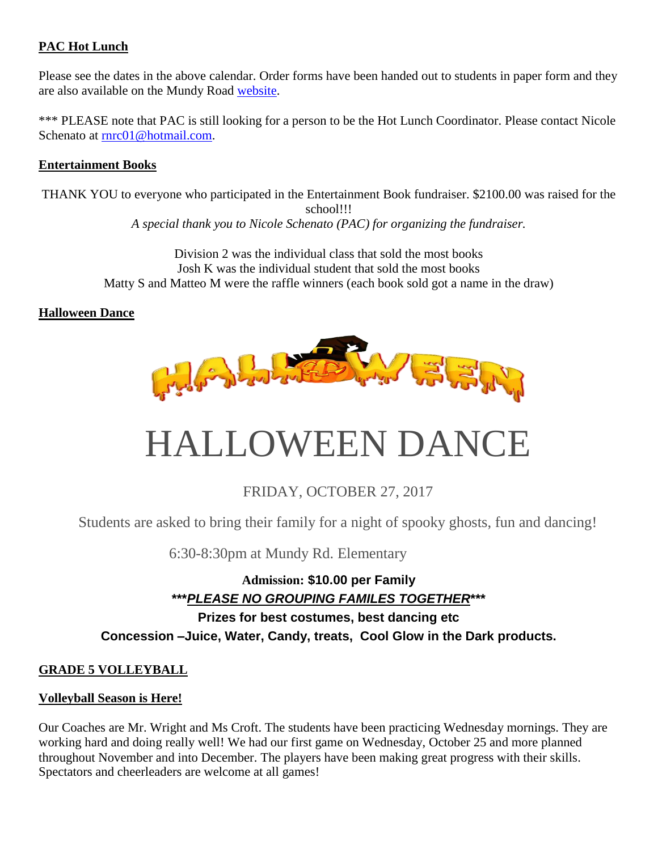#### **PAC Hot Lunch**

Please see the dates in the above calendar. Order forms have been handed out to students in paper form and they are also available on the Mundy Road [website.](http://www.sd43.bc.ca/school/mundyroad/Publication%20Documents/Pages/default.aspx)

\*\*\* PLEASE note that PAC is still looking for a person to be the Hot Lunch Coordinator. Please contact Nicole Schenato at [rnrc01@hotmail.com.](mailto:rnrc01@hotmail.com)

#### **Entertainment Books**

THANK YOU to everyone who participated in the Entertainment Book fundraiser. \$2100.00 was raised for the school!!! *A special thank you to Nicole Schenato (PAC) for organizing the fundraiser.*

> Division 2 was the individual class that sold the most books Josh K was the individual student that sold the most books Matty S and Matteo M were the raffle winners (each book sold got a name in the draw)

#### **Halloween Dance**



# HALLOWEEN DANCE

## FRIDAY, OCTOBER 27, 2017

Students are asked to bring their family for a night of spooky ghosts, fun and dancing!

6:30-8:30pm at Mundy Rd. Elementary

#### **Admission: \$10.00 per Family \*\*\****PLEASE NO GROUPING FAMILES TOGETHER***\*\*\***

**Prizes for best costumes, best dancing etc Concession –Juice, Water, Candy, treats, Cool Glow in the Dark products.**

#### **GRADE 5 VOLLEYBALL**

#### **Volleyball Season is Here!**

Our Coaches are Mr. Wright and Ms Croft. The students have been practicing Wednesday mornings. They are working hard and doing really well! We had our first game on Wednesday, October 25 and more planned throughout November and into December. The players have been making great progress with their skills. Spectators and cheerleaders are welcome at all games!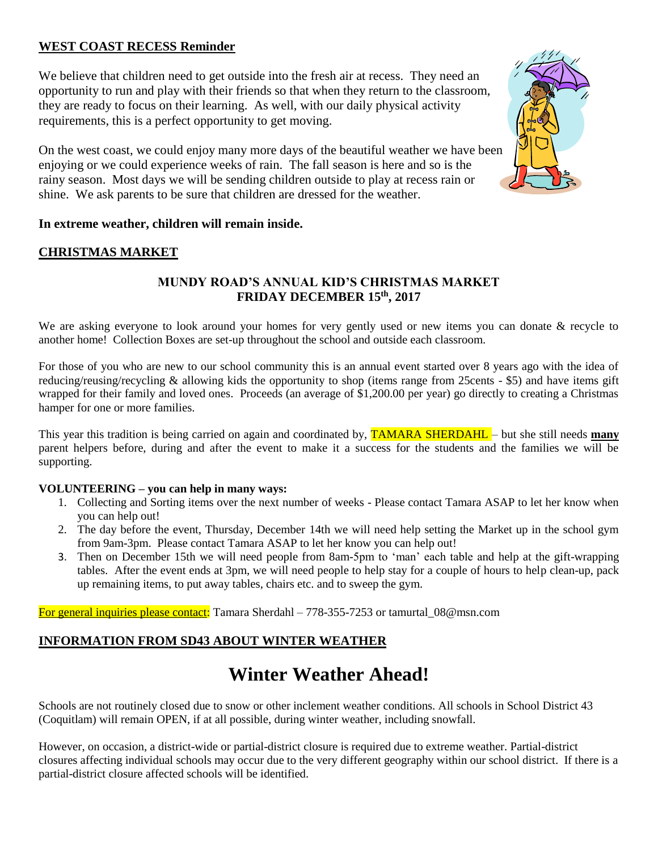#### **WEST COAST RECESS Reminder**

We believe that children need to get outside into the fresh air at recess. They need an opportunity to run and play with their friends so that when they return to the classroom, they are ready to focus on their learning. As well, with our daily physical activity requirements, this is a perfect opportunity to get moving.

On the west coast, we could enjoy many more days of the beautiful weather we have been enjoying or we could experience weeks of rain. The fall season is here and so is the rainy season. Most days we will be sending children outside to play at recess rain or shine. We ask parents to be sure that children are dressed for the weather.



#### **In extreme weather, children will remain inside.**

#### **CHRISTMAS MARKET**

#### **MUNDY ROAD'S ANNUAL KID'S CHRISTMAS MARKET FRIDAY DECEMBER 15 th, 2017**

We are asking everyone to look around your homes for very gently used or new items you can donate & recycle to another home! Collection Boxes are set-up throughout the school and outside each classroom.

For those of you who are new to our school community this is an annual event started over 8 years ago with the idea of reducing/reusing/recycling & allowing kids the opportunity to shop (items range from 25cents - \$5) and have items gift wrapped for their family and loved ones. Proceeds (an average of \$1,200.00 per year) go directly to creating a Christmas hamper for one or more families.

This year this tradition is being carried on again and coordinated by, TAMARA SHERDAHL – but she still needs **many** parent helpers before, during and after the event to make it a success for the students and the families we will be supporting.

#### **VOLUNTEERING – you can help in many ways:**

- 1. Collecting and Sorting items over the next number of weeks Please contact Tamara ASAP to let her know when you can help out!
- 2. The day before the event, Thursday, December 14th we will need help setting the Market up in the school gym from 9am-3pm. Please contact Tamara ASAP to let her know you can help out!
- 3. Then on December 15th we will need people from 8am-5pm to 'man' each table and help at the gift-wrapping tables. After the event ends at 3pm, we will need people to help stay for a couple of hours to help clean-up, pack up remaining items, to put away tables, chairs etc. and to sweep the gym.

For general inquiries please contact: Tamara Sherdahl – 778-355-7253 or tamurtal\_08@msn.com

#### **INFORMATION FROM SD43 ABOUT WINTER WEATHER**

# **Winter Weather Ahead!**

Schools are not routinely closed due to snow or other inclement weather conditions. All schools in School District 43 (Coquitlam) will remain OPEN, if at all possible, during winter weather, including snowfall.

However, on occasion, a district-wide or partial-district closure is required due to extreme weather. Partial-district closures affecting individual schools may occur due to the very different geography within our school district. If there is a partial-district closure affected schools will be identified.